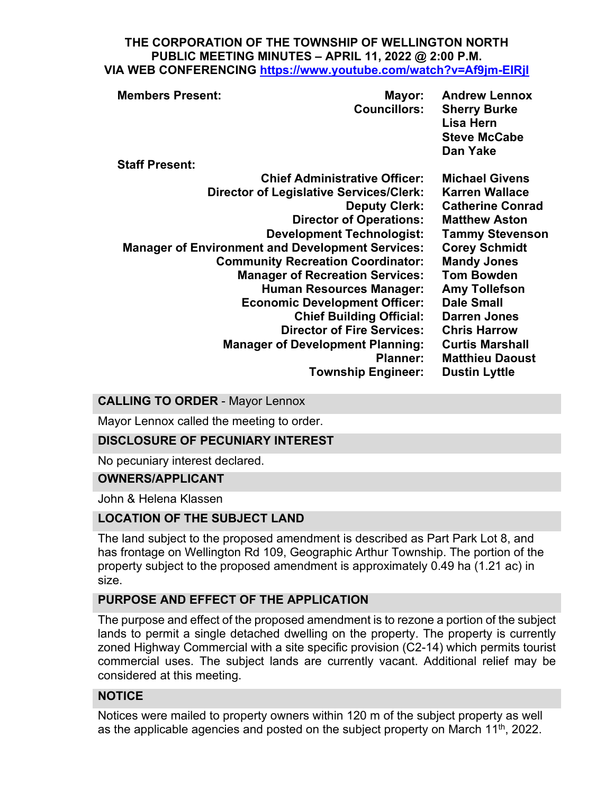#### **THE CORPORATION OF THE TOWNSHIP OF WELLINGTON NORTH PUBLIC MEETING MINUTES – APRIL 11, 2022 @ 2:00 P.M. VIA WEB CONFERENCING <https://www.youtube.com/watch?v=Af9jm-EIRjI>**

| <b>Members Present:</b>                                 | Mayor:<br><b>Councillors:</b>     | <b>Andrew Lennox</b><br><b>Sherry Burke</b><br>Lisa Hern<br><b>Steve McCabe</b><br>Dan Yake |
|---------------------------------------------------------|-----------------------------------|---------------------------------------------------------------------------------------------|
| <b>Staff Present:</b>                                   |                                   |                                                                                             |
| <b>Chief Administrative Officer:</b>                    |                                   | <b>Michael Givens</b>                                                                       |
| <b>Director of Legislative Services/Clerk:</b>          |                                   | <b>Karren Wallace</b>                                                                       |
|                                                         | <b>Deputy Clerk:</b>              | <b>Catherine Conrad</b>                                                                     |
|                                                         | <b>Director of Operations:</b>    | <b>Matthew Aston</b>                                                                        |
|                                                         | <b>Development Technologist:</b>  | <b>Tammy Stevenson</b>                                                                      |
| <b>Manager of Environment and Development Services:</b> |                                   | <b>Corey Schmidt</b>                                                                        |
| <b>Community Recreation Coordinator:</b>                |                                   | <b>Mandy Jones</b>                                                                          |
| <b>Manager of Recreation Services:</b>                  |                                   | <b>Tom Bowden</b>                                                                           |
|                                                         | <b>Human Resources Manager:</b>   | <b>Amy Tollefson</b>                                                                        |
| <b>Economic Development Officer:</b>                    |                                   | <b>Dale Small</b>                                                                           |
|                                                         | <b>Chief Building Official:</b>   | <b>Darren Jones</b>                                                                         |
|                                                         | <b>Director of Fire Services:</b> | <b>Chris Harrow</b>                                                                         |
| <b>Manager of Development Planning:</b>                 |                                   | <b>Curtis Marshall</b>                                                                      |
| <b>Planner:</b>                                         |                                   | <b>Matthieu Daoust</b>                                                                      |
|                                                         | <b>Township Engineer:</b>         | <b>Dustin Lyttle</b>                                                                        |
|                                                         |                                   |                                                                                             |

### **CALLING TO ORDER** - Mayor Lennox

Mayor Lennox called the meeting to order.

#### **DISCLOSURE OF PECUNIARY INTEREST**

No pecuniary interest declared.

#### **OWNERS/APPLICANT**

John & Helena Klassen

### **LOCATION OF THE SUBJECT LAND**

The land subject to the proposed amendment is described as Part Park Lot 8, and has frontage on Wellington Rd 109, Geographic Arthur Township. The portion of the property subject to the proposed amendment is approximately 0.49 ha (1.21 ac) in size.

# **PURPOSE AND EFFECT OF THE APPLICATION**

The purpose and effect of the proposed amendment is to rezone a portion of the subject lands to permit a single detached dwelling on the property. The property is currently zoned Highway Commercial with a site specific provision (C2-14) which permits tourist commercial uses. The subject lands are currently vacant. Additional relief may be considered at this meeting.

#### **NOTICE**

Notices were mailed to property owners within 120 m of the subject property as well as the applicable agencies and posted on the subject property on March  $11<sup>th</sup>$ , 2022.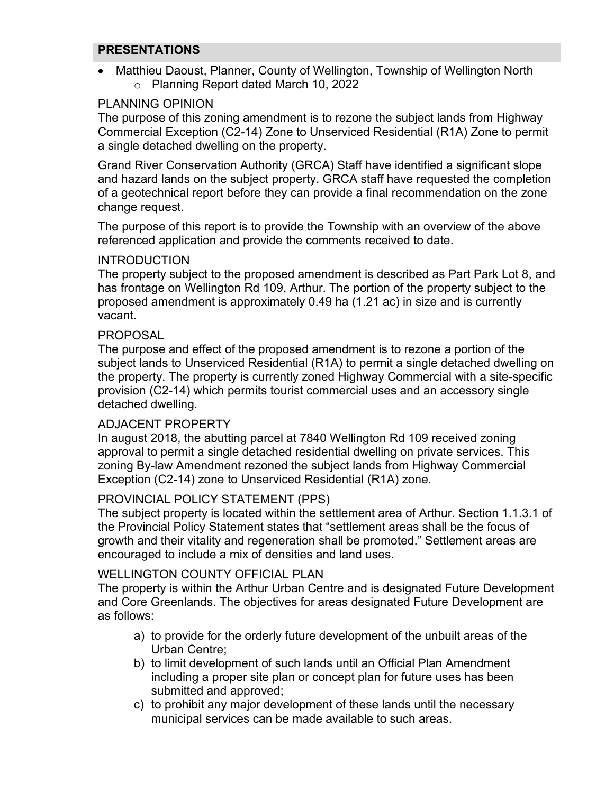## **PRESENTATIONS**

• Matthieu Daoust, Planner, County of Wellington, Township of Wellington North o Planning Report dated March 10, 2022

## PLANNING OPINION

The purpose of this zoning amendment is to rezone the subject lands from Highway Commercial Exception (C2-14) Zone to Unserviced Residential (R1A) Zone to permit a single detached dwelling on the property.

Grand River Conservation Authority (GRCA) Staff have identified a significant slope and hazard lands on the subject property. GRCA staff have requested the completion of a geotechnical report before they can provide a final recommendation on the zone change request.

The purpose of this report is to provide the Township with an overview of the above referenced application and provide the comments received to date.

#### **INTRODUCTION**

The property subject to the proposed amendment is described as Part Park Lot 8, and has frontage on Wellington Rd 109, Arthur. The portion of the property subject to the proposed amendment is approximately 0.49 ha (1.21 ac) in size and is currently vacant.

#### PROPOSAL

The purpose and effect of the proposed amendment is to rezone a portion of the subject lands to Unserviced Residential (R1A) to permit a single detached dwelling on the property. The property is currently zoned Highway Commercial with a site-specific provision (C2-14) which permits tourist commercial uses and an accessory single detached dwelling.

#### ADJACENT PROPERTY

In august 2018, the abutting parcel at 7840 Wellington Rd 109 received zoning approval to permit a single detached residential dwelling on private services. This zoning By-law Amendment rezoned the subject lands from Highway Commercial Exception (C2-14) zone to Unserviced Residential (R1A) zone.

#### PROVINCIAL POLICY STATEMENT (PPS)

The subject property is located within the settlement area of Arthur. Section 1.1.3.1 of the Provincial Policy Statement states that "settlement areas shall be the focus of growth and their vitality and regeneration shall be promoted." Settlement areas are encouraged to include a mix of densities and land uses.

#### WELLINGTON COUNTY OFFICIAL PLAN

The property is within the Arthur Urban Centre and is designated Future Development and Core Greenlands. The objectives for areas designated Future Development are as follows:

- a) to provide for the orderly future development of the unbuilt areas of the Urban Centre;
- b) to limit development of such lands until an Official Plan Amendment including a proper site plan or concept plan for future uses has been submitted and approved;
- c) to prohibit any major development of these lands until the necessary municipal services can be made available to such areas.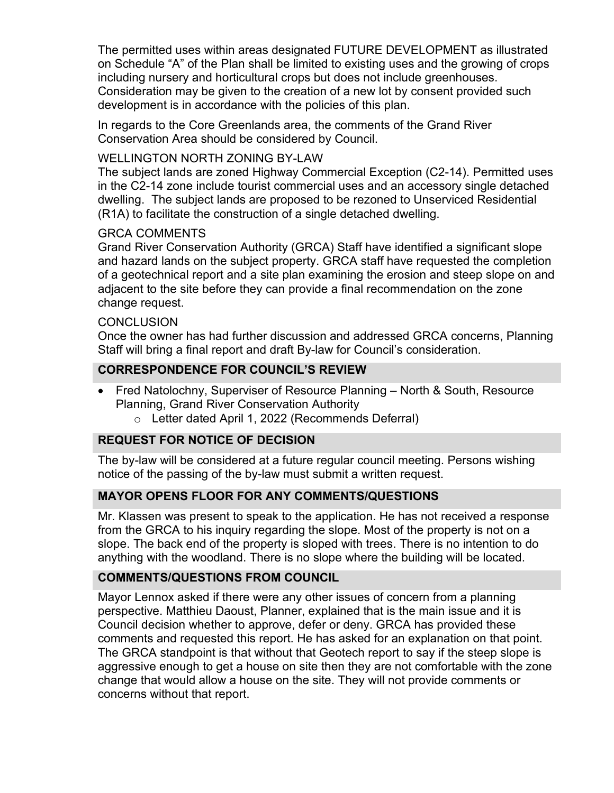The permitted uses within areas designated FUTURE DEVELOPMENT as illustrated on Schedule "A" of the Plan shall be limited to existing uses and the growing of crops including nursery and horticultural crops but does not include greenhouses. Consideration may be given to the creation of a new lot by consent provided such development is in accordance with the policies of this plan.

In regards to the Core Greenlands area, the comments of the Grand River Conservation Area should be considered by Council.

### WELLINGTON NORTH ZONING BY-LAW

The subject lands are zoned Highway Commercial Exception (C2-14). Permitted uses in the C2-14 zone include tourist commercial uses and an accessory single detached dwelling. The subject lands are proposed to be rezoned to Unserviced Residential (R1A) to facilitate the construction of a single detached dwelling.

## GRCA COMMENTS

Grand River Conservation Authority (GRCA) Staff have identified a significant slope and hazard lands on the subject property. GRCA staff have requested the completion of a geotechnical report and a site plan examining the erosion and steep slope on and adjacent to the site before they can provide a final recommendation on the zone change request.

#### **CONCLUSION**

Once the owner has had further discussion and addressed GRCA concerns, Planning Staff will bring a final report and draft By-law for Council's consideration.

# **CORRESPONDENCE FOR COUNCIL'S REVIEW**

- Fred Natolochny, Superviser of Resource Planning North & South, Resource Planning, Grand River Conservation Authority
	- o Letter dated April 1, 2022 (Recommends Deferral)

# **REQUEST FOR NOTICE OF DECISION**

The by-law will be considered at a future regular council meeting. Persons wishing notice of the passing of the by-law must submit a written request.

# **MAYOR OPENS FLOOR FOR ANY COMMENTS/QUESTIONS**

Mr. Klassen was present to speak to the application. He has not received a response from the GRCA to his inquiry regarding the slope. Most of the property is not on a slope. The back end of the property is sloped with trees. There is no intention to do anything with the woodland. There is no slope where the building will be located.

# **COMMENTS/QUESTIONS FROM COUNCIL**

Mayor Lennox asked if there were any other issues of concern from a planning perspective. Matthieu Daoust, Planner, explained that is the main issue and it is Council decision whether to approve, defer or deny. GRCA has provided these comments and requested this report. He has asked for an explanation on that point. The GRCA standpoint is that without that Geotech report to say if the steep slope is aggressive enough to get a house on site then they are not comfortable with the zone change that would allow a house on the site. They will not provide comments or concerns without that report.